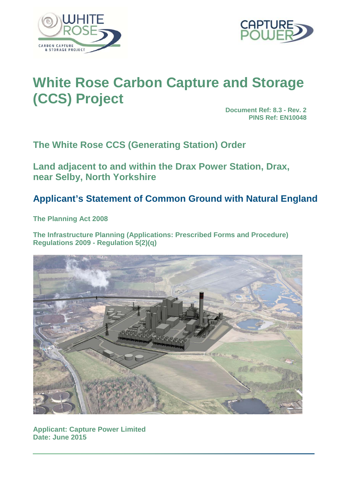



# **White Rose Carbon Capture and Storage (CCS) Project**

**Document Ref: 8.3 - Rev. 2 PINS Ref: EN10048**

**The White Rose CCS (Generating Station) Order**

**Land adjacent to and within the Drax Power Station, Drax, near Selby, North Yorkshire**

# **Applicant's Statement of Common Ground with Natural England**

**The Planning Act 2008**

**The Infrastructure Planning (Applications: Prescribed Forms and Procedure) Regulations 2009 - Regulation 5(2)(q)**



**Applicant: Capture Power Limited Date: June 2015**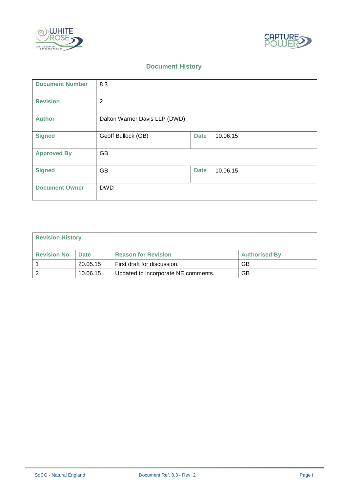



#### **Document History**

| <b>Document Number</b> | 8.3                           |             |          |
|------------------------|-------------------------------|-------------|----------|
| <b>Revision</b>        | $\overline{2}$                |             |          |
| <b>Author</b>          | Dalton Warner Davis LLP (DWD) |             |          |
| <b>Signed</b>          | Geoff Bullock (GB)            | <b>Date</b> | 10.06.15 |
| <b>Approved By</b>     | GB                            |             |          |
| <b>Signed</b>          | GB                            | <b>Date</b> | 10.06.15 |
| <b>Document Owner</b>  | <b>DWD</b>                    |             |          |

| <b>Revision History</b> |             |                                     |                      |  |  |  |
|-------------------------|-------------|-------------------------------------|----------------------|--|--|--|
| <b>Revision No.</b>     | <b>Date</b> | <b>Reason for Revision</b>          | <b>Authorised By</b> |  |  |  |
|                         | 20.05.15    | First draft for discussion.         | GB                   |  |  |  |
|                         | 10.06.15    | Updated to incorporate NE comments. | GB                   |  |  |  |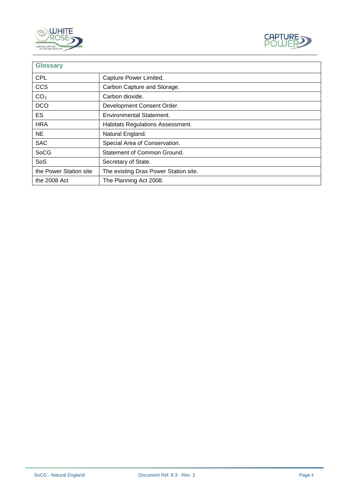



| <b>Glossary</b>        |                                       |
|------------------------|---------------------------------------|
| <b>CPL</b>             | Capture Power Limited.                |
| <b>CCS</b>             | Carbon Capture and Storage.           |
| CO <sub>2</sub>        | Carbon dioxide.                       |
| <b>DCO</b>             | Development Consent Order.            |
| <b>ES</b>              | <b>Environmental Statement.</b>       |
| <b>HRA</b>             | Habitats Regulations Assessment.      |
| <b>NE</b>              | Natural England.                      |
| <b>SAC</b>             | Special Area of Conservation.         |
| <b>SoCG</b>            | Statement of Common Ground.           |
| SoS                    | Secretary of State.                   |
| the Power Station site | The existing Drax Power Station site. |
| the 2008 Act           | The Planning Act 2008.                |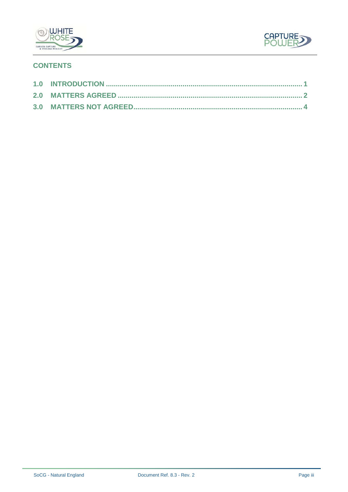



## **CONTENTS**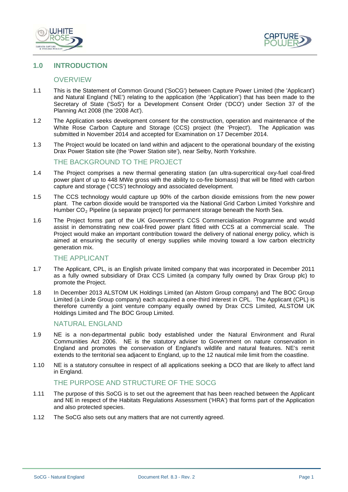



#### **1.0 INTRODUCTION**

#### **OVERVIEW**

- 1.1 This is the Statement of Common Ground ('SoCG') between Capture Power Limited (the 'Applicant') and Natural England ('NE') relating to the application (the 'Application') that has been made to the Secretary of State ('SoS') for a Development Consent Order ('DCO') under Section 37 of the Planning Act 2008 (the '2008 Act').
- 1.2 The Application seeks development consent for the construction, operation and maintenance of the White Rose Carbon Capture and Storage (CCS) project (the 'Project'). The Application was submitted in November 2014 and accepted for Examination on 17 December 2014.
- 1.3 The Project would be located on land within and adjacent to the operational boundary of the existing Drax Power Station site (the 'Power Station site'), near Selby, North Yorkshire.

#### THE BACKGROUND TO THE PROJECT

- 1.4 The Project comprises a new thermal generating station (an ultra-supercritical oxy-fuel coal-fired power plant of up to 448 MWe gross with the ability to co-fire biomass) that will be fitted with carbon capture and storage ('CCS') technology and associated development.
- 1.5 The CCS technology would capture up 90% of the carbon dioxide emissions from the new power plant. The carbon dioxide would be transported via the National Grid Carbon Limited Yorkshire and Humber  $CO<sub>2</sub>$  Pipeline (a separate project) for permanent storage beneath the North Sea.
- 1.6 The Project forms part of the UK Government's CCS Commercialisation Programme and would assist in demonstrating new coal-fired power plant fitted with CCS at a commercial scale. The Project would make an important contribution toward the delivery of national energy policy, which is aimed at ensuring the security of energy supplies while moving toward a low carbon electricity generation mix.

#### THE APPLICANT

- 1.7 The Applicant, CPL, is an English private limited company that was incorporated in December 2011 as a fully owned subsidiary of Drax CCS Limited (a company fully owned by Drax Group plc) to promote the Project.
- 1.8 In December 2013 ALSTOM UK Holdings Limited (an Alstom Group company) and The BOC Group Limited (a Linde Group company) each acquired a one-third interest in CPL. The Applicant (CPL) is therefore currently a joint venture company equally owned by Drax CCS Limited, ALSTOM UK Holdings Limited and The BOC Group Limited.

### NATURAL ENGLAND

- 1.9 NE is a non-departmental public body established under the Natural Environment and Rural Communities Act 2006. NE is the statutory adviser to Government on nature conservation in England and promotes the conservation of England's wildlife and natural features. NE's remit extends to the territorial sea adjacent to England, up to the 12 nautical mile limit from the coastline.
- 1.10 NE is a statutory consultee in respect of all applications seeking a DCO that are likely to affect land in England.

#### THE PURPOSE AND STRUCTURE OF THE SOCG

- 1.11 The purpose of this SoCG is to set out the agreement that has been reached between the Applicant and NE in respect of the Habitats Regulations Assessment ('HRA') that forms part of the Application and also protected species.
- 1.12 The SoCG also sets out any matters that are not currently agreed.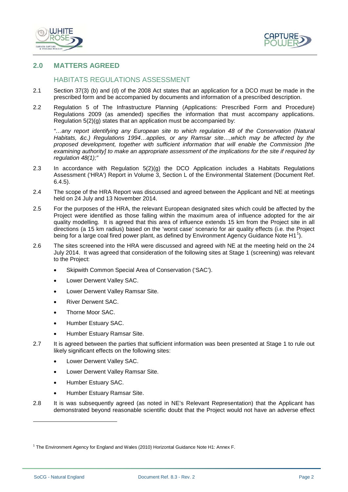



#### **2.0 MATTERS AGREED**

### HABITATS REGULATIONS ASSESSMENT

- 2.1 Section 37(3) (b) and (d) of the 2008 Act states that an application for a DCO must be made in the prescribed form and be accompanied by documents and information of a prescribed description.
- 2.2 Regulation 5 of The Infrastructure Planning (Applications: Prescribed Form and Procedure) Regulations 2009 (as amended) specifies the information that must accompany applications. Regulation 5(2)(g) states that an application must be accompanied by:

*"…any report identifying any European site to which regulation 48 of the Conservation (Natural Habitats, &c.) Regulations 1994…applies, or any Ramsar site…,which may be affected by the proposed development, together with sufficient information that will enable the Commission [the examining authority] to make an appropriate assessment of the implications for the site if required by regulation 48(1);"*

- 2.3 In accordance with Regulation 5(2)(g) the DCO Application includes a Habitats Regulations Assessment ('HRA') Report in Volume 3, Section L of the Environmental Statement (Document Ref. 6.4.5).
- 2.4 The scope of the HRA Report was discussed and agreed between the Applicant and NE at meetings held on 24 July and 13 November 2014.
- 2.5 For the purposes of the HRA, the relevant European designated sites which could be affected by the Project were identified as those falling within the maximum area of influence adopted for the air quality modelling. It is agreed that this area of influence extends 15 km from the Project site in all directions (a 15 km radius) based on the 'worst case' scenario for air quality effects (i.e. the Project being for a large coal fired power plant, as defined by Environment Agency Guidance Note H1<sup>1</sup>).
- 2.6 The sites screened into the HRA were discussed and agreed with NE at the meeting held on the 24 July 2014. It was agreed that consideration of the following sites at Stage 1 (screening) was relevant to the Project:
	- Skipwith Common Special Area of Conservation ('SAC').
	- Lower Derwent Valley SAC.
	- Lower Derwent Valley Ramsar Site.
	- River Derwent SAC.
	- Thorne Moor SAC.
	- Humber Estuary SAC.
	- Humber Estuary Ramsar Site.
- 2.7 It is agreed between the parties that sufficient information was been presented at Stage 1 to rule out likely significant effects on the following sites:
	- Lower Derwent Valley SAC.
	- Lower Derwent Valley Ramsar Site.
	- Humber Estuary SAC.
	- Humber Estuary Ramsar Site.
- 2.8 It is was subsequently agreed (as noted in NE's Relevant Representation) that the Applicant has demonstrated beyond reasonable scientific doubt that the Project would not have an adverse effect

-

<sup>&</sup>lt;sup>1</sup> The Environment Agency for England and Wales (2010) Horizontal Guidance Note H1: Annex F.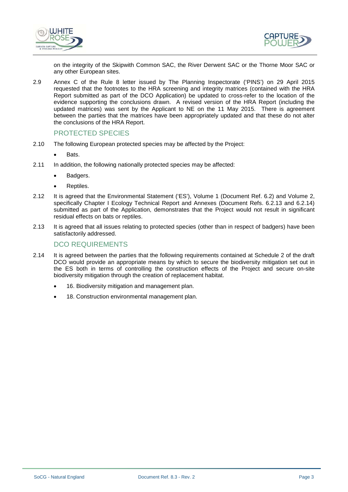



on the integrity of the Skipwith Common SAC, the River Derwent SAC or the Thorne Moor SAC or any other European sites.

2.9 Annex C of the Rule 8 letter issued by The Planning Inspectorate ('PINS') on 29 April 2015 requested that the footnotes to the HRA screening and integrity matrices (contained with the HRA Report submitted as part of the DCO Application) be updated to cross-refer to the location of the evidence supporting the conclusions drawn. A revised version of the HRA Report (including the updated matrices) was sent by the Applicant to NE on the 11 May 2015. There is agreement between the parties that the matrices have been appropriately updated and that these do not alter the conclusions of the HRA Report.

#### PROTECTED SPECIES

- 2.10 The following European protected species may be affected by the Project:
	- Bats.
- 2.11 In addition, the following nationally protected species may be affected:
	- Badgers.
	- Reptiles.
- 2.12 It is agreed that the Environmental Statement ('ES'), Volume 1 (Document Ref. 6.2) and Volume 2, specifically Chapter I Ecology Technical Report and Annexes (Document Refs. 6.2.13 and 6.2.14) submitted as part of the Application, demonstrates that the Project would not result in significant residual effects on bats or reptiles.
- 2.13 It is agreed that all issues relating to protected species (other than in respect of badgers) have been satisfactorily addressed.

#### DCO REQUIREMENTS

- 2.14 It is agreed between the parties that the following requirements contained at Schedule 2 of the draft DCO would provide an appropriate means by which to secure the biodiversity mitigation set out in the ES both in terms of controlling the construction effects of the Project and secure on-site biodiversity mitigation through the creation of replacement habitat.
	- 16. Biodiversity mitigation and management plan.
	- 18. Construction environmental management plan.